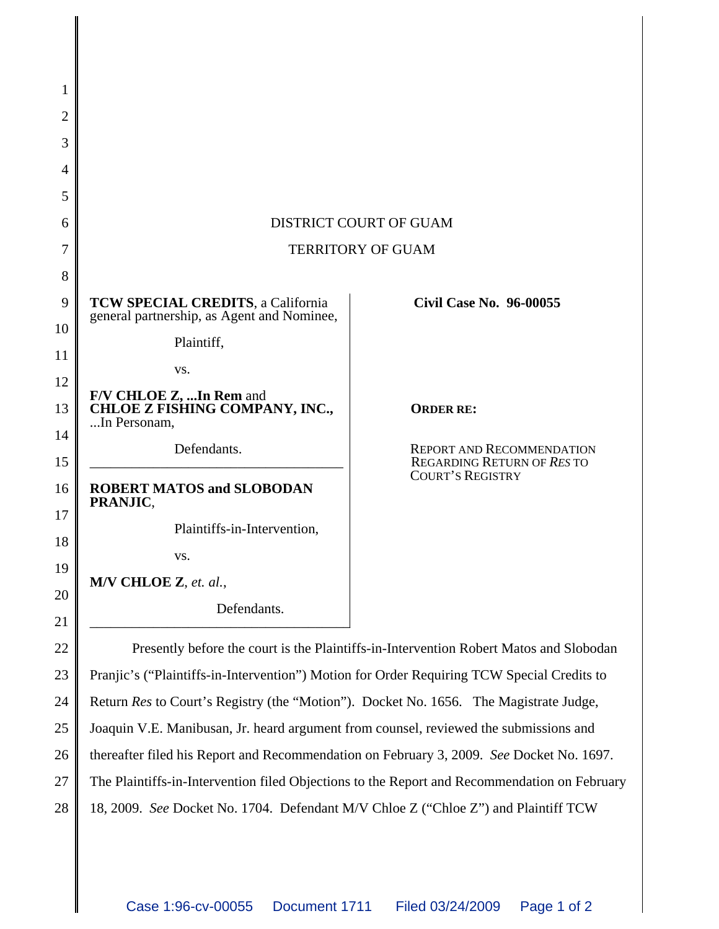| 1              |                                                                                              |                                                                      |  |
|----------------|----------------------------------------------------------------------------------------------|----------------------------------------------------------------------|--|
| $\overline{2}$ |                                                                                              |                                                                      |  |
| 3              |                                                                                              |                                                                      |  |
| 4              |                                                                                              |                                                                      |  |
| 5              |                                                                                              |                                                                      |  |
| 6              | <b>DISTRICT COURT OF GUAM</b>                                                                |                                                                      |  |
| 7              | <b>TERRITORY OF GUAM</b>                                                                     |                                                                      |  |
| 8              |                                                                                              |                                                                      |  |
| 9              | <b>TCW SPECIAL CREDITS, a California</b><br>general partnership, as Agent and Nominee,       | <b>Civil Case No. 96-00055</b>                                       |  |
| 10             | Plaintiff,                                                                                   |                                                                      |  |
| 11             | VS.                                                                                          |                                                                      |  |
| 12             | F/V CHLOE Z, In Rem and<br>CHLOE Z FISHING COMPANY, INC.,                                    |                                                                      |  |
| 13             | In Personam,                                                                                 | <b>ORDER RE:</b>                                                     |  |
| 14<br>15       | Defendants.                                                                                  | <b>REPORT AND RECOMMENDATION</b><br><b>REGARDING RETURN OF RESTO</b> |  |
| 16             | <b>ROBERT MATOS and SLOBODAN</b><br>PRANJIC,                                                 | <b>COURT'S REGISTRY</b>                                              |  |
| 17             | Plaintiffs-in-Intervention,                                                                  |                                                                      |  |
| 18             | VS.                                                                                          |                                                                      |  |
| 19             | M/V CHLOE Z, et. al.,                                                                        |                                                                      |  |
| 20<br>21       | Defendants.                                                                                  |                                                                      |  |
| 22             | Presently before the court is the Plaintiffs-in-Intervention Robert Matos and Slobodan       |                                                                      |  |
| 23             | Pranjic's ("Plaintiffs-in-Intervention") Motion for Order Requiring TCW Special Credits to   |                                                                      |  |
| 24             | Return Res to Court's Registry (the "Motion"). Docket No. 1656. The Magistrate Judge,        |                                                                      |  |
| 25             | Joaquin V.E. Manibusan, Jr. heard argument from counsel, reviewed the submissions and        |                                                                      |  |
| 26             | thereafter filed his Report and Recommendation on February 3, 2009. See Docket No. 1697.     |                                                                      |  |
| 27             | The Plaintiffs-in-Intervention filed Objections to the Report and Recommendation on February |                                                                      |  |
|                |                                                                                              |                                                                      |  |

28 18, 2009. *See* Docket No. 1704. Defendant M/V Chloe Z ("Chloe Z") and Plaintiff TCW